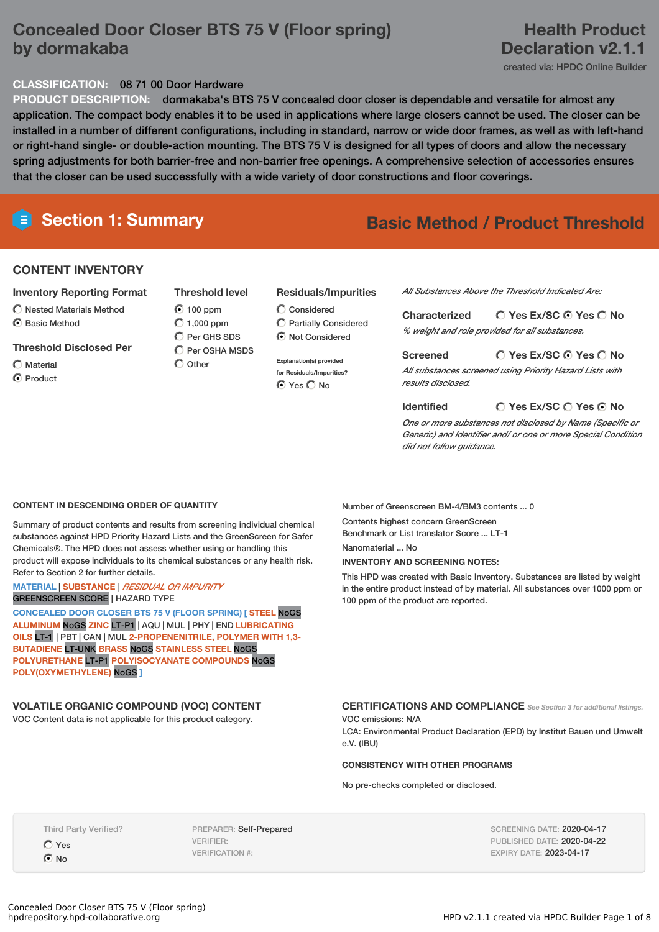### **Concealed Door Closer BTS 75 V (Floor spring) by dormakaba**

### **Health Product Declaration v2.1.1**

created via: HPDC Online Builder

#### **CLASSIFICATION:** 08 71 00 Door Hardware

**PRODUCT DESCRIPTION:** dormakaba's BTS 75 V concealed door closer is dependable and versatile for almost any application. The compact body enables it to be used in applications where large closers cannot be used. The closer can be installed in a number of different configurations, including in standard, narrow or wide door frames, as well as with left-hand or right-hand single- or double-action mounting. The BTS 75 V is designed for all types of doors and allow the necessary spring adjustments for both barrier-free and non-barrier free openings. A comprehensive selection of accessories ensures that the closer can be used successfully with a wide variety of door constructions and floor coverings.

## **Section 1: Summary Basic Method / Product Threshold**

### **CONTENT INVENTORY**

#### **Inventory Reporting Format**

- $\bigcirc$  Nested Materials Method
- C Basic Method

#### **Threshold Disclosed Per**

Material C Product

- **Threshold level** 100 ppm  $O$  1,000 ppm C Per GHS SDS
- $\bigcap$  Per OSHA MSDS  $\bigcap$  Other

#### **Residuals/Impurities**

Considered Partially Considered  $\odot$  Not Considered

**Explanation(s) provided for Residuals/Impurities?** ⊙ Yes O No

*All Substances Above the Threshold Indicated Are:*

#### **Yes Ex/SC Yes No Characterized**

*% weight and role provided for all substances.*

#### **Yes Ex/SC Yes No**

*All substances screened using Priority Hazard Lists with results disclosed.*

#### **Yes Ex/SC Yes No Identified**

*One or more substances not disclosed by Name (Specific or Generic) and Identifier and/ or one or more Special Condition did not follow guidance.*

#### **CONTENT IN DESCENDING ORDER OF QUANTITY**

Summary of product contents and results from screening individual chemical substances against HPD Priority Hazard Lists and the GreenScreen for Safer Chemicals®. The HPD does not assess whether using or handling this product will expose individuals to its chemical substances or any health risk. Refer to Section 2 for further details.

#### **MATERIAL** | **SUBSTANCE** | *RESIDUAL OR IMPURITY* GREENSCREEN SCORE | HAZARD TYPE

**CONCEALED DOOR CLOSER BTS 75 V (FLOOR SPRING) [ STEEL** NoGS **ALUMINUM** NoGS **ZINC** LT-P1 | AQU | MUL | PHY | END **LUBRICATING OILS** LT-1 | PBT | CAN | MUL **2-PROPENENITRILE, POLYMER WITH 1,3- BUTADIENE** LT-UNK **BRASS** NoGS **STAINLESS STEEL** NoGS **POLYURETHANE** LT-P1 **POLYISOCYANATE COMPOUNDS** NoGS **POLY(OXYMETHYLENE)** NoGS **]**

### **VOLATILE ORGANIC COMPOUND (VOC) CONTENT**

VOC Content data is not applicable for this product category.

Number of Greenscreen BM-4/BM3 contents ... 0

Contents highest concern GreenScreen Benchmark or List translator Score ... LT-1

**Screened**

Nanomaterial ... No

#### **INVENTORY AND SCREENING NOTES:**

This HPD was created with Basic Inventory. Substances are listed by weight in the entire product instead of by material. All substances over 1000 ppm or 100 ppm of the product are reported.

### **CERTIFICATIONS AND COMPLIANCE** *See Section <sup>3</sup> for additional listings.*

VOC emissions: N/A LCA: Environmental Product Declaration (EPD) by Institut Bauen und Umwelt e.V. (IBU)

#### **CONSISTENCY WITH OTHER PROGRAMS**

No pre-checks completed or disclosed.

Third Party Verified?

Yes  $\odot$  No

PREPARER: Self-Prepared VERIFIER: VERIFICATION #:

SCREENING DATE: 2020-04-17 PUBLISHED DATE: 2020-04-22 EXPIRY DATE: 2023-04-17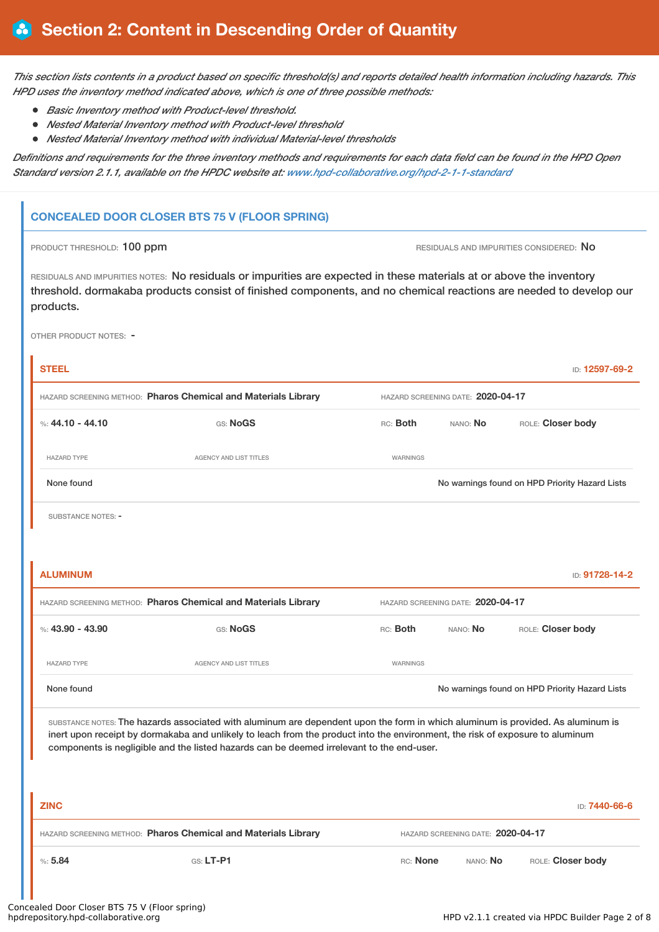This section lists contents in a product based on specific threshold(s) and reports detailed health information including hazards. This *HPD uses the inventory method indicated above, which is one of three possible methods:*

- *Basic Inventory method with Product-level threshold.*
- *Nested Material Inventory method with Product-level threshold*
- *Nested Material Inventory method with individual Material-level thresholds*

Definitions and requirements for the three inventory methods and requirements for each data field can be found in the HPD Open *Standard version 2.1.1, available on the HPDC website at: [www.hpd-collaborative.org/hpd-2-1-1-standard](https://www.hpd-collaborative.org/hpd-2-1-1-standard)*

### **CONCEALED DOOR CLOSER BTS 75 V (FLOOR SPRING)**

PRODUCT THRESHOLD: 100 ppm **RESIDUALS** AND IMPURITIES CONSIDERED: No

RESIDUALS AND IMPURITIES NOTES: No residuals or impurities are expected in these materials at or above the inventory threshold. dormakaba products consist of finished components, and no chemical reactions are needed to develop our products.

OTHER PRODUCT NOTES: -

| <b>STEEL</b>                                                                                                                                                                                                                                                                                                                                                  |                                                                |                 |                                   | ID: 12597-69-2                                 |  |
|---------------------------------------------------------------------------------------------------------------------------------------------------------------------------------------------------------------------------------------------------------------------------------------------------------------------------------------------------------------|----------------------------------------------------------------|-----------------|-----------------------------------|------------------------------------------------|--|
|                                                                                                                                                                                                                                                                                                                                                               | HAZARD SCREENING METHOD: Pharos Chemical and Materials Library |                 | HAZARD SCREENING DATE: 2020-04-17 |                                                |  |
| %: 44.10 - 44.10                                                                                                                                                                                                                                                                                                                                              | GS: NoGS                                                       | RC: Both        | NANO: No                          | ROLE: Closer body                              |  |
| <b>HAZARD TYPE</b>                                                                                                                                                                                                                                                                                                                                            | AGENCY AND LIST TITLES                                         | WARNINGS        |                                   |                                                |  |
| None found                                                                                                                                                                                                                                                                                                                                                    |                                                                |                 |                                   | No warnings found on HPD Priority Hazard Lists |  |
| <b>SUBSTANCE NOTES: -</b>                                                                                                                                                                                                                                                                                                                                     |                                                                |                 |                                   |                                                |  |
|                                                                                                                                                                                                                                                                                                                                                               |                                                                |                 |                                   |                                                |  |
| <b>ALUMINUM</b>                                                                                                                                                                                                                                                                                                                                               |                                                                |                 |                                   | ID: 91728-14-2                                 |  |
|                                                                                                                                                                                                                                                                                                                                                               | HAZARD SCREENING METHOD: Pharos Chemical and Materials Library |                 | HAZARD SCREENING DATE: 2020-04-17 |                                                |  |
| %: $43.90 - 43.90$                                                                                                                                                                                                                                                                                                                                            | GS: NoGS                                                       | RC: Both        | NANO: No                          | ROLE: Closer body                              |  |
| <b>HAZARD TYPE</b>                                                                                                                                                                                                                                                                                                                                            | AGENCY AND LIST TITLES                                         | <b>WARNINGS</b> |                                   |                                                |  |
| None found                                                                                                                                                                                                                                                                                                                                                    |                                                                |                 |                                   | No warnings found on HPD Priority Hazard Lists |  |
| SUBSTANCE NOTES: The hazards associated with aluminum are dependent upon the form in which aluminum is provided. As aluminum is<br>inert upon receipt by dormakaba and unlikely to leach from the product into the environment, the risk of exposure to aluminum<br>components is negligible and the listed hazards can be deemed irrelevant to the end-user. |                                                                |                 |                                   |                                                |  |
|                                                                                                                                                                                                                                                                                                                                                               |                                                                |                 |                                   |                                                |  |
| <b>ZINC</b>                                                                                                                                                                                                                                                                                                                                                   |                                                                |                 |                                   | ID: 7440-66-6                                  |  |
|                                                                                                                                                                                                                                                                                                                                                               | HAZARD SCREENING METHOD: Pharos Chemical and Materials Library |                 | HAZARD SCREENING DATE: 2020-04-17 |                                                |  |
| %5.84                                                                                                                                                                                                                                                                                                                                                         | GS: LT-P1                                                      | RC: None        | NANO: No                          | ROLE: Closer body                              |  |
|                                                                                                                                                                                                                                                                                                                                                               |                                                                |                 |                                   |                                                |  |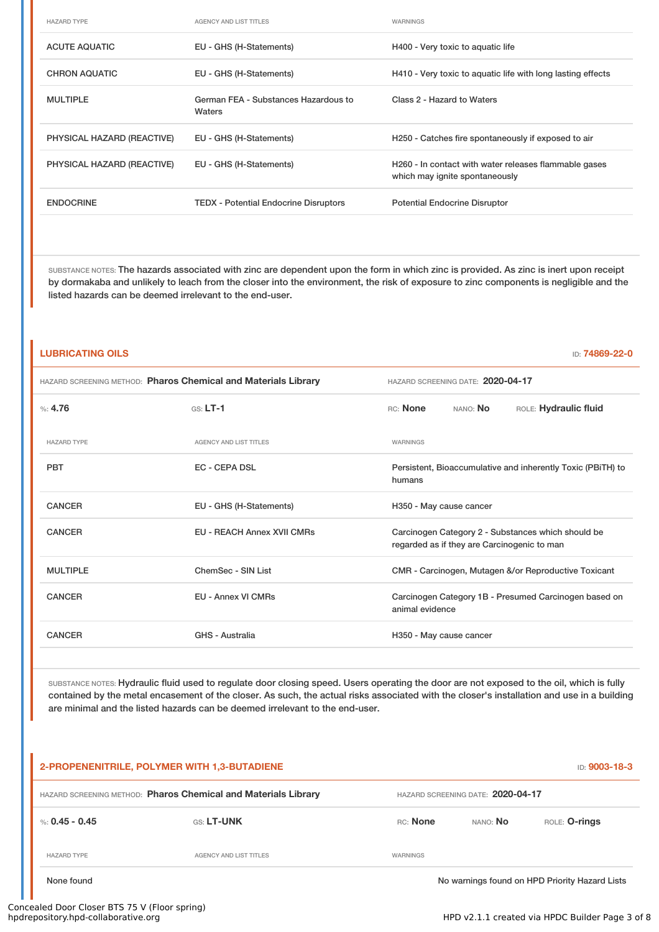| <b>HAZARD TYPE</b>         | <b>AGENCY AND LIST TITLES</b>                  | WARNINGS                                                                                |
|----------------------------|------------------------------------------------|-----------------------------------------------------------------------------------------|
| <b>ACUTE AQUATIC</b>       | EU - GHS (H-Statements)                        | H400 - Very toxic to aquatic life                                                       |
| <b>CHRON AQUATIC</b>       | EU - GHS (H-Statements)                        | H410 - Very toxic to aguatic life with long lasting effects                             |
| <b>MULTIPLE</b>            | German FEA - Substances Hazardous to<br>Waters | Class 2 - Hazard to Waters                                                              |
| PHYSICAL HAZARD (REACTIVE) | EU - GHS (H-Statements)                        | H250 - Catches fire spontaneously if exposed to air                                     |
| PHYSICAL HAZARD (REACTIVE) | EU - GHS (H-Statements)                        | H260 - In contact with water releases flammable gases<br>which may ignite spontaneously |
| <b>ENDOCRINE</b>           | <b>TEDX</b> - Potential Endocrine Disruptors   | <b>Potential Endocrine Disruptor</b>                                                    |

SUBSTANCE NOTES: The hazards associated with zinc are dependent upon the form in which zinc is provided. As zinc is inert upon receipt by dormakaba and unlikely to leach from the closer into the environment, the risk of exposure to zinc components is negligible and the listed hazards can be deemed irrelevant to the end-user.

| <b>LUBRICATING OILS</b><br>ID: 74869-22-0                      |                                   |                                                                                                   |  |  |  |
|----------------------------------------------------------------|-----------------------------------|---------------------------------------------------------------------------------------------------|--|--|--|
| HAZARD SCREENING METHOD: Pharos Chemical and Materials Library |                                   | HAZARD SCREENING DATE: 2020-04-17                                                                 |  |  |  |
| $\%: 4.76$                                                     | $GS: LT-1$                        | RC: None<br>NANO: No<br>ROLE: Hydraulic fluid                                                     |  |  |  |
| <b>HAZARD TYPE</b>                                             | <b>AGENCY AND LIST TITLES</b>     | <b>WARNINGS</b>                                                                                   |  |  |  |
| <b>PBT</b>                                                     | <b>EC - CEPA DSL</b>              | Persistent, Bioaccumulative and inherently Toxic (PBiTH) to<br>humans                             |  |  |  |
| <b>CANCER</b>                                                  | EU - GHS (H-Statements)           | H350 - May cause cancer                                                                           |  |  |  |
| <b>CANCER</b>                                                  | <b>EU - REACH Annex XVII CMRs</b> | Carcinogen Category 2 - Substances which should be<br>regarded as if they are Carcinogenic to man |  |  |  |
| <b>MULTIPLE</b>                                                | ChemSec - SIN List                | CMR - Carcinogen, Mutagen &/or Reproductive Toxicant                                              |  |  |  |
| <b>CANCER</b>                                                  | <b>EU - Annex VI CMRs</b>         | Carcinogen Category 1B - Presumed Carcinogen based on<br>animal evidence                          |  |  |  |
| <b>CANCER</b>                                                  | GHS - Australia                   | H350 - May cause cancer                                                                           |  |  |  |

SUBSTANCE NOTES: Hydraulic fluid used to regulate door closing speed. Users operating the door are not exposed to the oil, which is fully contained by the metal encasement of the closer. As such, the actual risks associated with the closer's installation and use in a building are minimal and the listed hazards can be deemed irrelevant to the end-user.

# **2-PROPENENITRILE, POLYMER WITH 1,3-BUTADIENE** ID: **9003-18-3** HAZARD SCREENING METHOD: **Pharos Chemical and Materials Library** HAZARD SCREENING DATE: **2020-04-17** %: **0.45 - 0.45** GS: **LT-UNK** RC: **None** NANO: **No** ROLE: **O-rings** HAZARD TYPE THE RESERVED ON AGENCY AND LIST TITLES THE RESERVED ON A MARNINGS None found Nowarnings found on HPD Priority Hazard Lists

## Concealed Door Closer BTS 75 V (Floor spring)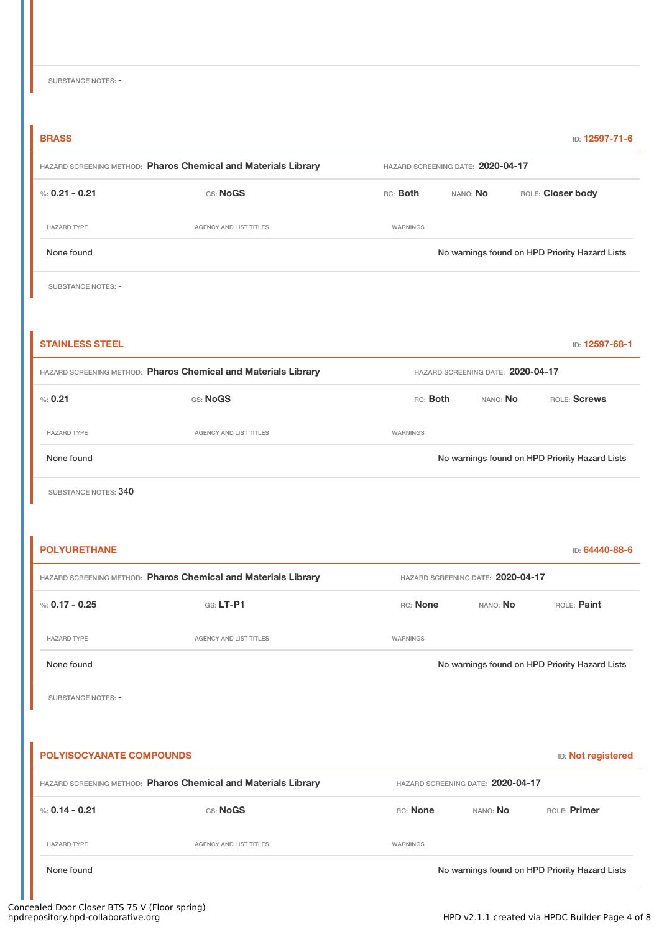# **BRASS** ID: **12597-71-6** HAZARD SCREENING METHOD: **Pharos Chemical and Materials Library** HAZARD SCREENING DATE: **2020-04-17** %: **0.21 - 0.21** GS: **NoGS** RC: **Both** NANO: **No** ROLE: **Closer body** HAZARD TYPE **AGENCY AND LIST TITLES** AGENCY AND LIST TITLES None found Nowarnings found on HPD Priority Hazard Lists SUBSTANCE NOTES: -**STAINLESS STEEL ID: 12597-68-1** HAZARD SCREENING METHOD: **Pharos Chemical and Materials Library** HAZARD SCREENING DATE: **2020-04-17**

%: **0.21** GS: **NoGS** RC: **Both** NANO: **No** ROLE: **Screws** HAZARD TYPE AGENCY AND LIST TITLES WARNINGS None found Nowarnings found on HPD Priority Hazard Lists

SUBSTANCE NOTES: 340

| <b>POLYURETHANE</b> |                                                                |                                   |          | ID: 64440-88-6                                 |
|---------------------|----------------------------------------------------------------|-----------------------------------|----------|------------------------------------------------|
|                     | HAZARD SCREENING METHOD: Pharos Chemical and Materials Library | HAZARD SCREENING DATE: 2020-04-17 |          |                                                |
| %: 0.17 - 0.25      | $GS: LT-P1$                                                    | RC: None                          | NANO: No | ROLE: Paint                                    |
| <b>HAZARD TYPE</b>  | AGENCY AND LIST TITLES                                         | WARNINGS                          |          |                                                |
| None found          |                                                                |                                   |          | No warnings found on HPD Priority Hazard Lists |
|                     |                                                                |                                   |          |                                                |

SUBSTANCE NOTES: -

**POLYISOCYANATE COMPOUNDS** ID: **Not registered** HAZARD SCREENING METHOD: **Pharos Chemical and Materials Library** HAZARD SCREENING DATE: **2020-04-17** %: **0.14 - 0.21** GS: **NoGS** RC: **None** NANO: **No** ROLE: **Primer** HAZARD TYPE THE RESERVED OF AGENCY AND LIST TITLES THE RESERVED OF A GENOME OF A GENOME AGENCY AND LIST TITLES None found Nowarnings found on HPD Priority Hazard Lists

## Concealed Door Closer BTS 75 V (Floor spring)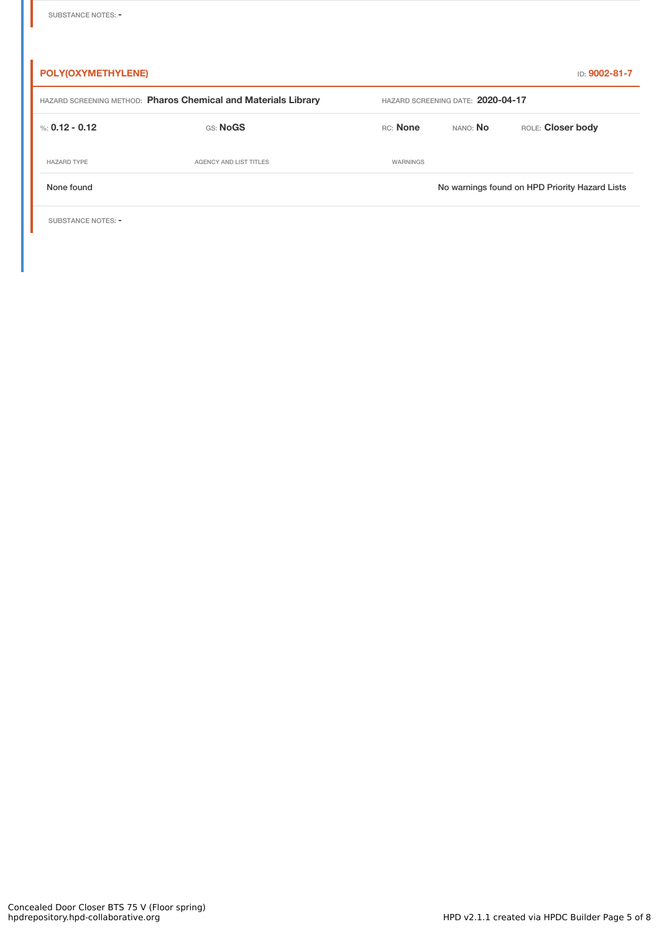| <b>POLY(OXYMETHYLENE)</b> |                                                                |                                   |          | ID: 9002-81-7                                  |
|---------------------------|----------------------------------------------------------------|-----------------------------------|----------|------------------------------------------------|
|                           | HAZARD SCREENING METHOD: Pharos Chemical and Materials Library | HAZARD SCREENING DATE: 2020-04-17 |          |                                                |
| %: 0.12 - 0.12            | GS: NoGS                                                       | RC: None                          | NANO: No | ROLE: Closer body                              |
| <b>HAZARD TYPE</b>        | AGENCY AND LIST TITLES                                         | WARNINGS                          |          |                                                |
| None found                |                                                                |                                   |          | No warnings found on HPD Priority Hazard Lists |
|                           |                                                                |                                   |          |                                                |

SUBSTANCE NOTES: -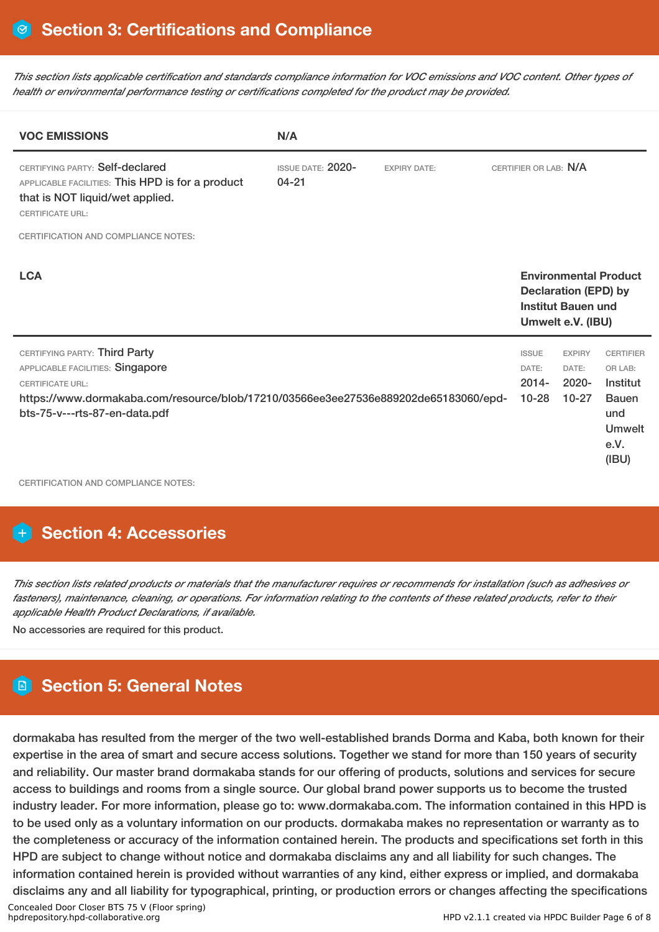This section lists applicable certification and standards compliance information for VOC emissions and VOC content. Other types of *health or environmental performance testing or certifications completed for the product may be provided.*

| <b>VOC EMISSIONS</b>                                                                                                                                                                                                 | N/A                                   |                     |                                                |                                                                               |                                                                                                  |
|----------------------------------------------------------------------------------------------------------------------------------------------------------------------------------------------------------------------|---------------------------------------|---------------------|------------------------------------------------|-------------------------------------------------------------------------------|--------------------------------------------------------------------------------------------------|
| CERTIFYING PARTY: Self-declared<br>APPLICABLE FACILITIES: This HPD is for a product<br>that is NOT liquid/wet applied.<br><b>CERTIFICATE URL:</b>                                                                    | <b>ISSUE DATE: 2020-</b><br>$04 - 21$ | <b>EXPIRY DATE:</b> | CERTIFIER OR LAB: N/A                          |                                                                               |                                                                                                  |
| <b>CERTIFICATION AND COMPLIANCE NOTES:</b>                                                                                                                                                                           |                                       |                     |                                                |                                                                               |                                                                                                  |
| <b>LCA</b>                                                                                                                                                                                                           |                                       |                     |                                                | <b>Declaration (EPD) by</b><br><b>Institut Bauen und</b><br>Umwelt e.V. (IBU) | <b>Environmental Product</b>                                                                     |
| CERTIFYING PARTY: Third Party<br>APPLICABLE FACILITIES: Singapore<br><b>CERTIFICATE URL:</b><br>https://www.dormakaba.com/resource/blob/17210/03566ee3ee27536e889202de65183060/epd-<br>bts-75-v---rts-87-en-data.pdf |                                       |                     | <b>ISSUE</b><br>DATE:<br>$2014 -$<br>$10 - 28$ | <b>EXPIRY</b><br>DATE:<br>$2020 -$<br>$10 - 27$                               | <b>CERTIFIER</b><br>OR LAB:<br>Institut<br><b>Bauen</b><br>und<br><b>Umwelt</b><br>e.V.<br>(IBU) |

CERTIFICATION AND COMPLIANCE NOTES:

### **H** Section 4: Accessories

This section lists related products or materials that the manufacturer requires or recommends for installation (such as adhesives or fasteners), maintenance, cleaning, or operations. For information relating to the contents of these related products, refer to their *applicable Health Product Declarations, if available.*

No accessories are required for this product.

### **Section 5: General Notes**

dormakaba has resulted from the merger of the two well-established brands Dorma and Kaba, both known for their expertise in the area of smart and secure access solutions. Together we stand for more than 150 years of security and reliability. Our master brand dormakaba stands for our offering of products, solutions and services for secure access to buildings and rooms from a single source. Our global brand power supports us to become the trusted industry leader. For more information, please go to: www.dormakaba.com. The information contained in this HPD is to be used only as a voluntary information on our products. dormakaba makes no representation or warranty as to the completeness or accuracy of the information contained herein. The products and specifications set forth in this HPD are subject to change without notice and dormakaba disclaims any and all liability for such changes. The information contained herein is provided without warranties of any kind, either express or implied, and dormakaba disclaims any and all liability for typographical, printing, or production errors or changes affecting the specifications Concealed Door Closer BTS 75 V (Floor spring) HPD v2.1.1 created via HPDC Builder Page 6 of 8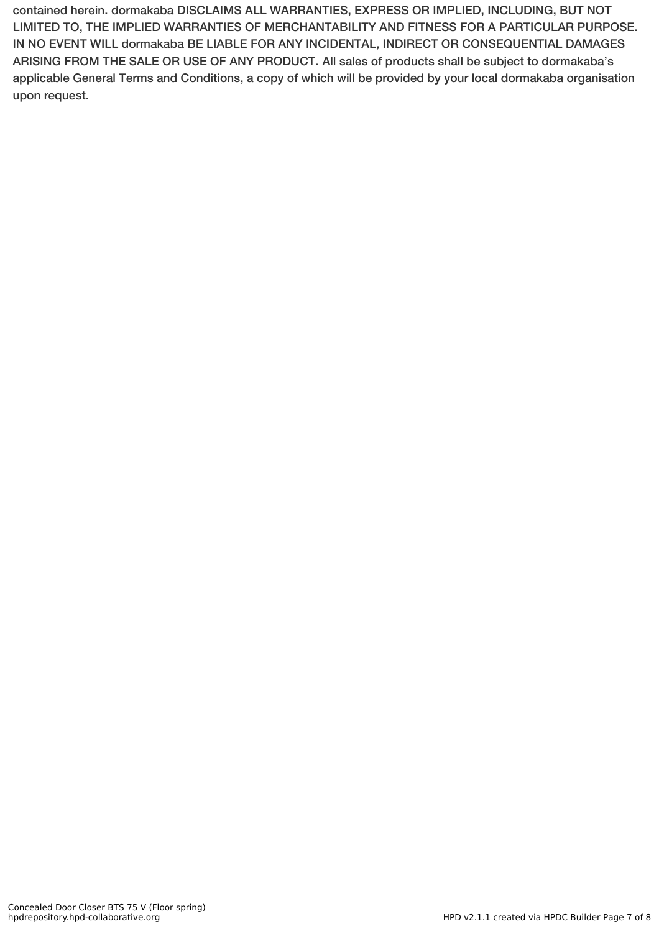contained herein. dormakaba DISCLAIMS ALL WARRANTIES, EXPRESS OR IMPLIED, INCLUDING, BUT NOT LIMITED TO, THE IMPLIED WARRANTIES OF MERCHANTABILITY AND FITNESS FOR A PARTICULAR PURPOSE. IN NO EVENT WILL dormakaba BE LIABLE FOR ANY INCIDENTAL, INDIRECT OR CONSEQUENTIAL DAMAGES ARISING FROM THE SALE OR USE OF ANY PRODUCT. All sales of products shall be subject to dormakaba's applicable General Terms and Conditions, a copy of which will be provided by your local dormakaba organisation upon request.